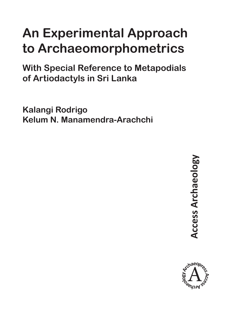# **An Experimental Approach to Archaeomorphometrics**

**With Special Reference to Metapodials of Artiodactyls in Sri Lanka**

**Kalangi Rodrigo Kelum N. Manamendra-Arachchi**

> **Access Archaeology Access Archaeology**

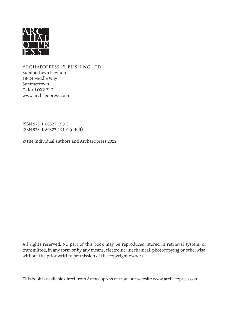

Archaeopress Publishing Ltd Summertown Pavilion 18-24 Middle Way Summertown Oxford OX2 7LG www.archaeopress.com

ISBN 978-1-80327-190-3 ISBN 978-1-80327-191-0 (e-Pdf)

© the individual authors and Archaeopress 2022

All rights reserved. No part of this book may be reproduced, stored in retrieval system, or transmitted, in any form or by any means, electronic, mechanical, photocopying or otherwise, without the prior written permission of the copyright owners.

This book is available direct from Archaeopress or from our website www.archaeopress.com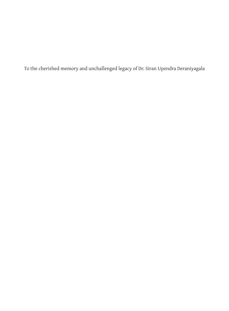To the cherished memory and unchallenged legacy of Dr. Siran Upendra Deraniyagala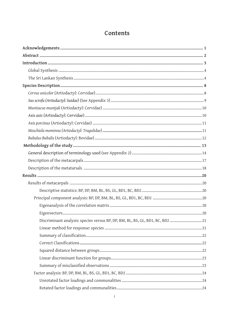## Contents

| Discriminant analysis: species versus BP, DP, BM, BL, BS, GL, BD1, BC, BD2 21 |  |
|-------------------------------------------------------------------------------|--|
|                                                                               |  |
|                                                                               |  |
|                                                                               |  |
|                                                                               |  |
|                                                                               |  |
|                                                                               |  |
|                                                                               |  |
|                                                                               |  |
|                                                                               |  |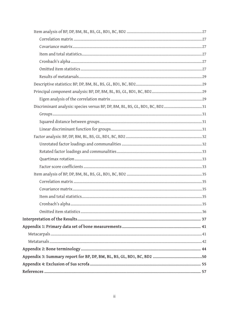| Discriminant analysis: species versus BP, DP, BM, BL, BS, GL, BD1, BC, BD231 |  |
|------------------------------------------------------------------------------|--|
|                                                                              |  |
|                                                                              |  |
|                                                                              |  |
|                                                                              |  |
|                                                                              |  |
|                                                                              |  |
|                                                                              |  |
|                                                                              |  |
|                                                                              |  |
|                                                                              |  |
|                                                                              |  |
|                                                                              |  |
|                                                                              |  |
|                                                                              |  |
|                                                                              |  |
|                                                                              |  |
|                                                                              |  |
|                                                                              |  |
|                                                                              |  |
|                                                                              |  |
|                                                                              |  |
|                                                                              |  |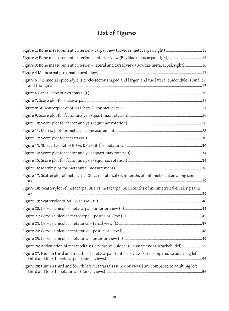# **List of Figures**

| Figure 1: Bone measurement criterion - carpal view (Bovidae metacarpal, right) 15                        |
|----------------------------------------------------------------------------------------------------------|
| Figure 2: Bone measurement criterion - anterior view (Bovidae metacarpal, right)15                       |
| Figure 3: Bone measurement criterion - lateral and tarsal view (Bovidae metacarpal, right) 16            |
|                                                                                                          |
| Figure 5 The medial epicondyle is circle-sector shaped and larger, and the lateral epicondyle is smaller |
|                                                                                                          |
|                                                                                                          |
|                                                                                                          |
|                                                                                                          |
|                                                                                                          |
|                                                                                                          |
|                                                                                                          |
|                                                                                                          |
|                                                                                                          |
|                                                                                                          |
|                                                                                                          |
| Figure 17: Scatterplot of metacarpal GL vs metatarsal GL in tenths of millimetre taken along same        |
| Figure 18: Scatterplot of metacarpal BD1 vs metacarpal GL in tenths of millimetre taken along same       |
|                                                                                                          |
|                                                                                                          |
|                                                                                                          |
|                                                                                                          |
|                                                                                                          |
|                                                                                                          |
| Figure 26: Articulation of metapodials: Cervidae vs Suidae (K. Manamendra-Arachchi del)55                |
| Figure 27: Human third and fourth left metacarpals (anterior views) are compared to adult pig left       |
| Figure 28: Human third and fourth left metatarsals (superior views) are compared to adult pig left       |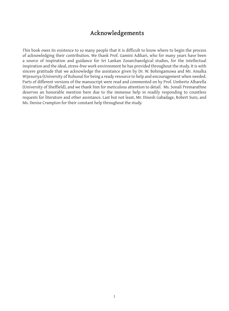### **Acknowledgements**

This book owes its existence to so many people that it is difficult to know where to begin the process of acknowledging their contribution. We thank Prof. Gamini Adikari, who for many years have been a source of inspiration and guidance for Sri Lankan Zooarchaeolgical studies, for the intellectual inspiration and the ideal, stress-free work environment he has provided throughout the study. It is with sincere gratitude that we acknowledge the assistance given by Dr. W. Bohingamuwa and Mr. Amalka Wijesuriya (University of Ruhuna) for being a ready resource to help and encouragement when needed. Parts of different versions of the manuscript were read and commented on by Prof. Umberto Albarella (University of Sheffield), and we thank him for meticulous attention to detail. Ms. Sonali Premarathne deserves an honorable mention here due to the immense help in readily responding to countless requests for literature and other assistance. Last but not least, Mr. Dinesh Gabadage, Robert Suro, and Ms. Denise Crampton for their constant help throughout the study.